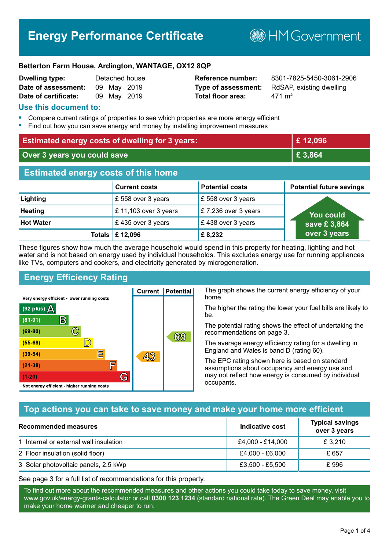# **Energy Performance Certificate**

**B**HMGovernment

#### **Betterton Farm House, Ardington, WANTAGE, OX12 8QP**

| <b>Dwelling type:</b> |             | Detached house |
|-----------------------|-------------|----------------|
| Date of assessment:   | 09 May 2019 |                |
| Date of certificate:  |             | 09 May 2019    |

**Total floor area:** 471 m<sup>2</sup>

**Reference number:** 8301-7825-5450-3061-2906 **Type of assessment:** RdSAP, existing dwelling

#### **Use this document to:**

- **•** Compare current ratings of properties to see which properties are more energy efficient
- **•** Find out how you can save energy and money by installing improvement measures

| <b>Estimated energy costs of dwelling for 3 years:</b> |                                  | £12,096                |                                 |
|--------------------------------------------------------|----------------------------------|------------------------|---------------------------------|
| Over 3 years you could save                            |                                  | £ 3,864                |                                 |
| <b>Estimated energy costs of this home</b>             |                                  |                        |                                 |
|                                                        | <b>Current costs</b>             | <b>Potential costs</b> | <b>Potential future savings</b> |
| Lighting                                               | £ 558 over 3 years               | £558 over 3 years      |                                 |
| <b>Heating</b>                                         | £ 11,103 over 3 years            | £7,236 over 3 years    | <b>You could</b>                |
| <b>Hot Water</b>                                       | £435 over 3 years                | £438 over 3 years      | save £3,864                     |
|                                                        | Totals $\mathbf \epsilon$ 12,096 | £8,232                 | over 3 years                    |

These figures show how much the average household would spend in this property for heating, lighting and hot water and is not based on energy used by individual households. This excludes energy use for running appliances like TVs, computers and cookers, and electricity generated by microgeneration.

**Current | Potential** 

43

## **Energy Efficiency Rating**

 $\mathbb{C}$ 

 $\mathbb{D}$ 

E

庐

G

Very energy efficient - lower running costs

 $\mathsf{R}% _{T}$ 

Not energy efficient - higher running costs

(92 plus)  $\Delta$ 

 $(81 - 91)$ 

 $(69 - 80)$ 

 $(55-68)$ 

 $(39 - 54)$ 

 $(21-38)$ 

 $(1-20)$ 

The graph shows the current energy efficiency of your home.

The higher the rating the lower your fuel bills are likely to be.

The potential rating shows the effect of undertaking the recommendations on page 3.

The average energy efficiency rating for a dwelling in England and Wales is band D (rating 60).

The EPC rating shown here is based on standard assumptions about occupancy and energy use and may not reflect how energy is consumed by individual occupants.

## **Top actions you can take to save money and make your home more efficient**

69

| Recommended measures                   | Indicative cost  | <b>Typical savings</b><br>over 3 years |
|----------------------------------------|------------------|----------------------------------------|
| 1 Internal or external wall insulation | £4,000 - £14,000 | £ 3,210                                |
| 2 Floor insulation (solid floor)       | £4,000 - £6,000  | £ 657                                  |
| 3 Solar photovoltaic panels, 2.5 kWp   | £3,500 - £5,500  | £996                                   |

See page 3 for a full list of recommendations for this property.

To find out more about the recommended measures and other actions you could take today to save money, visit www.gov.uk/energy-grants-calculator or call **0300 123 1234** (standard national rate). The Green Deal may enable you to make your home warmer and cheaper to run.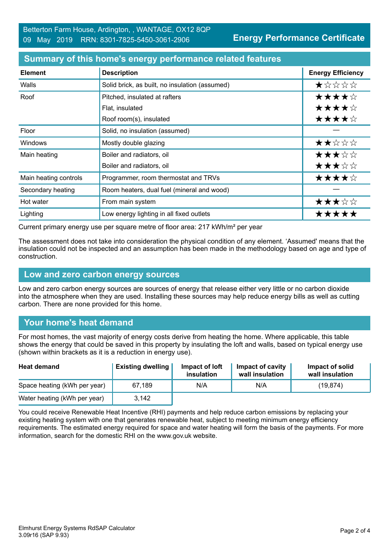| <b>Element</b>        | <b>Description</b>                             | <b>Energy Efficiency</b> |
|-----------------------|------------------------------------------------|--------------------------|
| Walls                 | Solid brick, as built, no insulation (assumed) | $\star$ * * * *          |
| Roof                  | Pitched, insulated at rafters                  | ★★★★☆                    |
|                       | Flat, insulated                                | ★★★★☆                    |
|                       | Roof room(s), insulated                        | ★★★★☆                    |
| Floor                 | Solid, no insulation (assumed)                 |                          |
| <b>Windows</b>        | Mostly double glazing                          | ★★☆☆☆                    |
| Main heating          | Boiler and radiators, oil                      | ★★★☆☆                    |
|                       | Boiler and radiators, oil                      | ★★★☆☆                    |
| Main heating controls | Programmer, room thermostat and TRVs           | ★★★★☆                    |
| Secondary heating     | Room heaters, dual fuel (mineral and wood)     |                          |
| Hot water             | From main system                               | ★★★☆☆                    |
| Lighting              | Low energy lighting in all fixed outlets       | *****                    |

#### **Summary of this home's energy performance related features**

Current primary energy use per square metre of floor area: 217 kWh/m² per year

The assessment does not take into consideration the physical condition of any element. 'Assumed' means that the insulation could not be inspected and an assumption has been made in the methodology based on age and type of construction.

#### **Low and zero carbon energy sources**

Low and zero carbon energy sources are sources of energy that release either very little or no carbon dioxide into the atmosphere when they are used. Installing these sources may help reduce energy bills as well as cutting carbon. There are none provided for this home.

## **Your home's heat demand**

For most homes, the vast majority of energy costs derive from heating the home. Where applicable, this table shows the energy that could be saved in this property by insulating the loft and walls, based on typical energy use (shown within brackets as it is a reduction in energy use).

| <b>Heat demand</b>           | <b>Existing dwelling</b> | Impact of loft<br>insulation | <b>Impact of cavity</b><br>wall insulation | Impact of solid<br>wall insulation |
|------------------------------|--------------------------|------------------------------|--------------------------------------------|------------------------------------|
| Space heating (kWh per year) | 67.189                   | N/A                          | N/A                                        | (19, 874)                          |
| Water heating (kWh per year) | 3,142                    |                              |                                            |                                    |

You could receive Renewable Heat Incentive (RHI) payments and help reduce carbon emissions by replacing your existing heating system with one that generates renewable heat, subject to meeting minimum energy efficiency requirements. The estimated energy required for space and water heating will form the basis of the payments. For more information, search for the domestic RHI on the www.gov.uk website.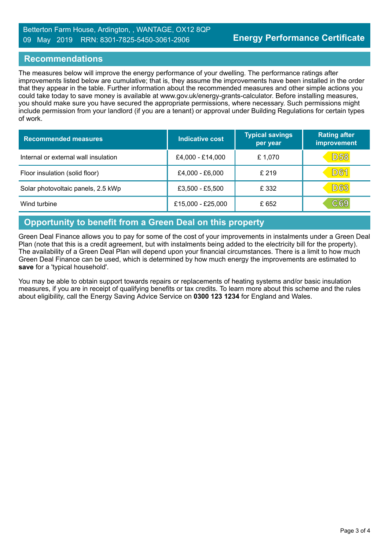## **Recommendations**

The measures below will improve the energy performance of your dwelling. The performance ratings after improvements listed below are cumulative; that is, they assume the improvements have been installed in the order that they appear in the table. Further information about the recommended measures and other simple actions you could take today to save money is available at www.gov.uk/energy-grants-calculator. Before installing measures, you should make sure you have secured the appropriate permissions, where necessary. Such permissions might include permission from your landlord (if you are a tenant) or approval under Building Regulations for certain types of work.

| <b>Recommended measures</b>          | Indicative cost     | <b>Typical savings</b><br>per year | <b>Rating after</b><br>improvement |
|--------------------------------------|---------------------|------------------------------------|------------------------------------|
| Internal or external wall insulation | £4,000 - £14,000    | £1,070                             | <b>D58</b>                         |
| Floor insulation (solid floor)       | £4,000 - £6,000     | £ 219                              | <b>D61</b>                         |
| Solar photovoltaic panels, 2.5 kWp   | £3,500 - £5,500     | £ 332                              | <b>D63</b>                         |
| Wind turbine                         | $£15,000 - £25,000$ | £ 652                              | C69                                |

## **Opportunity to benefit from a Green Deal on this property**

Green Deal Finance allows you to pay for some of the cost of your improvements in instalments under a Green Deal Plan (note that this is a credit agreement, but with instalments being added to the electricity bill for the property). The availability of a Green Deal Plan will depend upon your financial circumstances. There is a limit to how much Green Deal Finance can be used, which is determined by how much energy the improvements are estimated to **save** for a 'typical household'.

You may be able to obtain support towards repairs or replacements of heating systems and/or basic insulation measures, if you are in receipt of qualifying benefits or tax credits. To learn more about this scheme and the rules about eligibility, call the Energy Saving Advice Service on **0300 123 1234** for England and Wales.